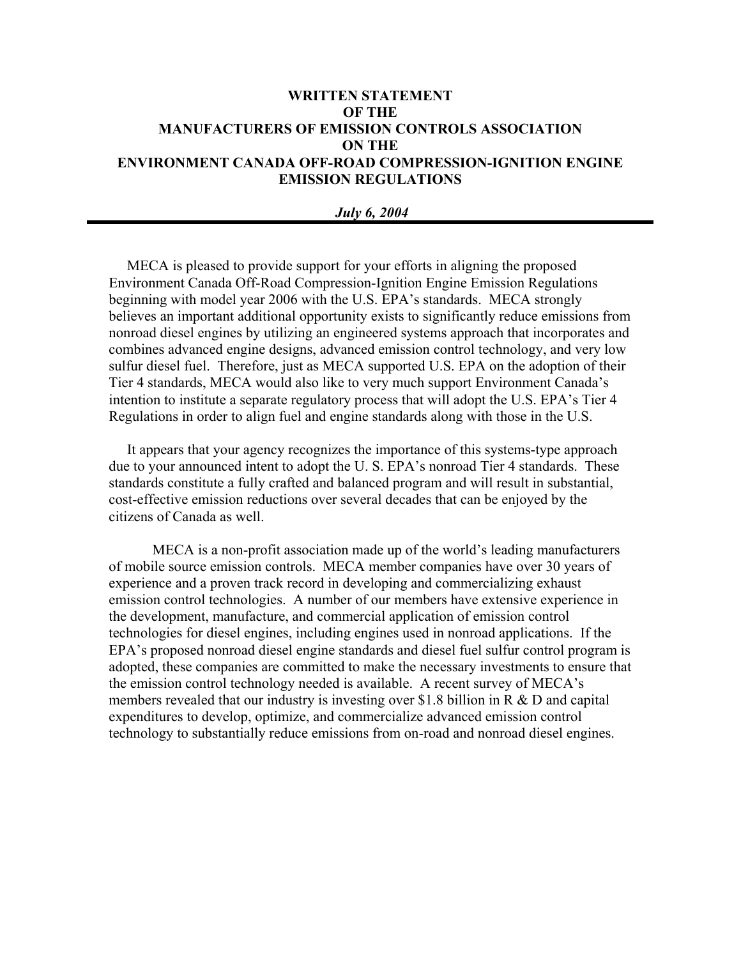# **WRITTEN STATEMENT OF THE MANUFACTURERS OF EMISSION CONTROLS ASSOCIATION ON THE ENVIRONMENT CANADA OFF-ROAD COMPRESSION-IGNITION ENGINE EMISSION REGULATIONS**

### *July 6, 2004*

 MECA is pleased to provide support for your efforts in aligning the proposed Environment Canada Off-Road Compression-Ignition Engine Emission Regulations beginning with model year 2006 with the U.S. EPA's standards. MECA strongly believes an important additional opportunity exists to significantly reduce emissions from nonroad diesel engines by utilizing an engineered systems approach that incorporates and combines advanced engine designs, advanced emission control technology, and very low sulfur diesel fuel. Therefore, just as MECA supported U.S. EPA on the adoption of their Tier 4 standards, MECA would also like to very much support Environment Canada's intention to institute a separate regulatory process that will adopt the U.S. EPA's Tier 4 Regulations in order to align fuel and engine standards along with those in the U.S.

 It appears that your agency recognizes the importance of this systems-type approach due to your announced intent to adopt the U. S. EPA's nonroad Tier 4 standards. These standards constitute a fully crafted and balanced program and will result in substantial, cost-effective emission reductions over several decades that can be enjoyed by the citizens of Canada as well.

MECA is a non-profit association made up of the world's leading manufacturers of mobile source emission controls. MECA member companies have over 30 years of experience and a proven track record in developing and commercializing exhaust emission control technologies. A number of our members have extensive experience in the development, manufacture, and commercial application of emission control technologies for diesel engines, including engines used in nonroad applications. If the EPA's proposed nonroad diesel engine standards and diesel fuel sulfur control program is adopted, these companies are committed to make the necessary investments to ensure that the emission control technology needed is available. A recent survey of MECA's members revealed that our industry is investing over \$1.8 billion in R & D and capital expenditures to develop, optimize, and commercialize advanced emission control technology to substantially reduce emissions from on-road and nonroad diesel engines.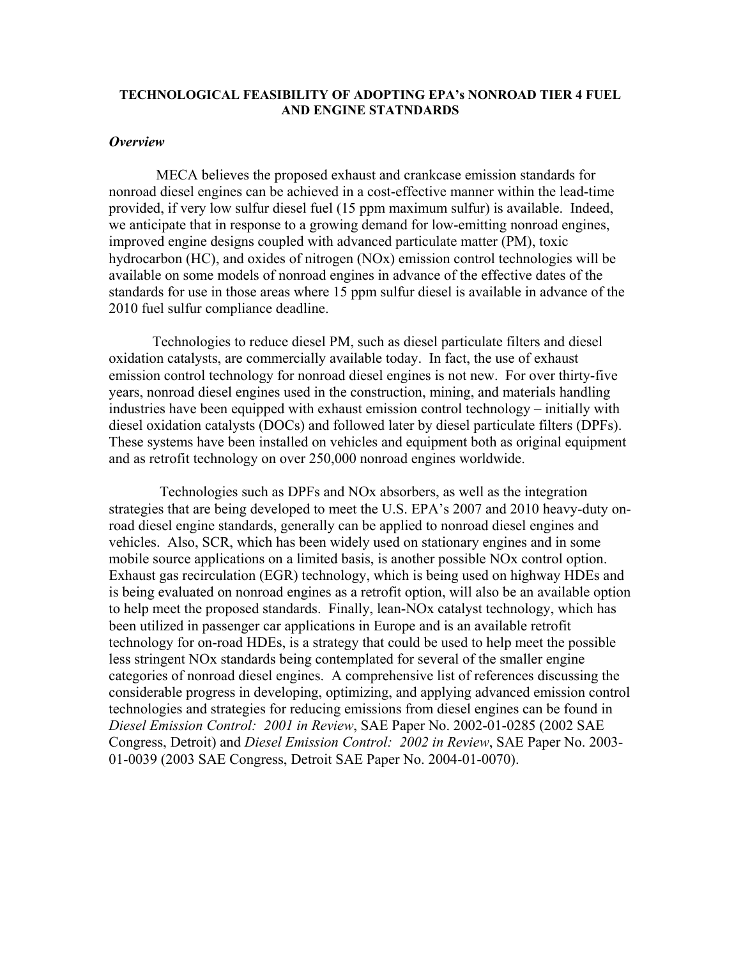#### **TECHNOLOGICAL FEASIBILITY OF ADOPTING EPA's NONROAD TIER 4 FUEL AND ENGINE STATNDARDS**

# *Overview*

 MECA believes the proposed exhaust and crankcase emission standards for nonroad diesel engines can be achieved in a cost-effective manner within the lead-time provided, if very low sulfur diesel fuel (15 ppm maximum sulfur) is available. Indeed, we anticipate that in response to a growing demand for low-emitting nonroad engines, improved engine designs coupled with advanced particulate matter (PM), toxic hydrocarbon (HC), and oxides of nitrogen (NOx) emission control technologies will be available on some models of nonroad engines in advance of the effective dates of the standards for use in those areas where 15 ppm sulfur diesel is available in advance of the 2010 fuel sulfur compliance deadline.

Technologies to reduce diesel PM, such as diesel particulate filters and diesel oxidation catalysts, are commercially available today. In fact, the use of exhaust emission control technology for nonroad diesel engines is not new. For over thirty-five years, nonroad diesel engines used in the construction, mining, and materials handling industries have been equipped with exhaust emission control technology – initially with diesel oxidation catalysts (DOCs) and followed later by diesel particulate filters (DPFs). These systems have been installed on vehicles and equipment both as original equipment and as retrofit technology on over 250,000 nonroad engines worldwide.

 Technologies such as DPFs and NOx absorbers, as well as the integration strategies that are being developed to meet the U.S. EPA's 2007 and 2010 heavy-duty onroad diesel engine standards, generally can be applied to nonroad diesel engines and vehicles. Also, SCR, which has been widely used on stationary engines and in some mobile source applications on a limited basis, is another possible NOx control option. Exhaust gas recirculation (EGR) technology, which is being used on highway HDEs and is being evaluated on nonroad engines as a retrofit option, will also be an available option to help meet the proposed standards. Finally, lean-NOx catalyst technology, which has been utilized in passenger car applications in Europe and is an available retrofit technology for on-road HDEs, is a strategy that could be used to help meet the possible less stringent NOx standards being contemplated for several of the smaller engine categories of nonroad diesel engines. A comprehensive list of references discussing the considerable progress in developing, optimizing, and applying advanced emission control technologies and strategies for reducing emissions from diesel engines can be found in *Diesel Emission Control: 2001 in Review*, SAE Paper No. 2002-01-0285 (2002 SAE Congress, Detroit) and *Diesel Emission Control: 2002 in Review*, SAE Paper No. 2003- 01-0039 (2003 SAE Congress, Detroit SAE Paper No. 2004-01-0070).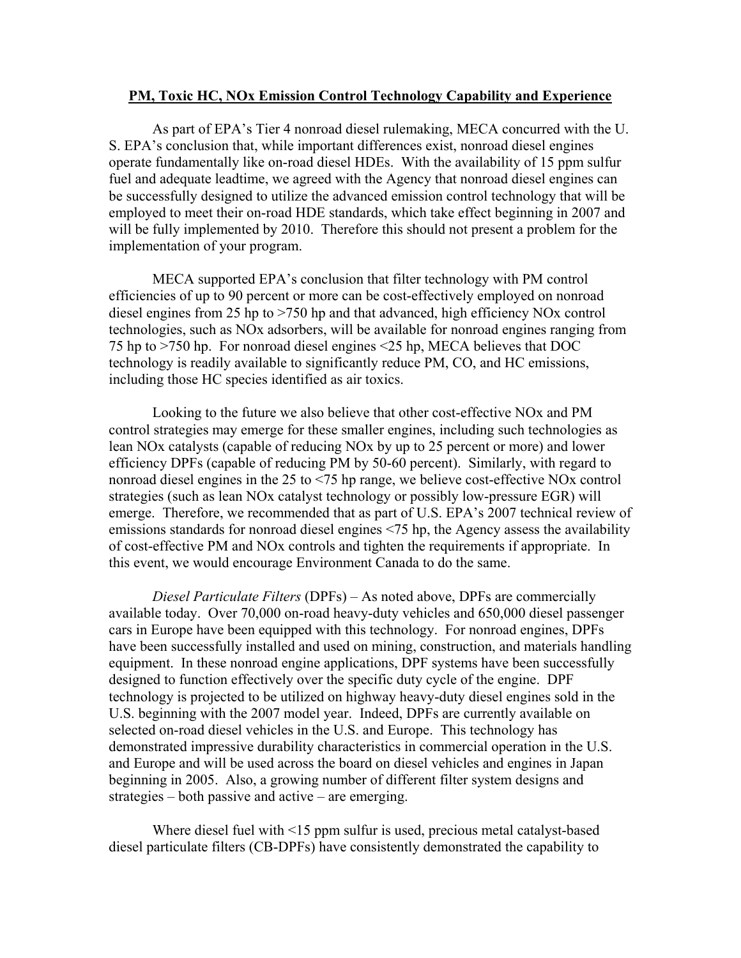#### **PM, Toxic HC, NOx Emission Control Technology Capability and Experience**

As part of EPA's Tier 4 nonroad diesel rulemaking, MECA concurred with the U. S. EPA's conclusion that, while important differences exist, nonroad diesel engines operate fundamentally like on-road diesel HDEs. With the availability of 15 ppm sulfur fuel and adequate leadtime, we agreed with the Agency that nonroad diesel engines can be successfully designed to utilize the advanced emission control technology that will be employed to meet their on-road HDE standards, which take effect beginning in 2007 and will be fully implemented by 2010. Therefore this should not present a problem for the implementation of your program.

MECA supported EPA's conclusion that filter technology with PM control efficiencies of up to 90 percent or more can be cost-effectively employed on nonroad diesel engines from 25 hp to >750 hp and that advanced, high efficiency NOx control technologies, such as NOx adsorbers, will be available for nonroad engines ranging from 75 hp to >750 hp. For nonroad diesel engines <25 hp, MECA believes that DOC technology is readily available to significantly reduce PM, CO, and HC emissions, including those HC species identified as air toxics.

Looking to the future we also believe that other cost-effective NOx and PM control strategies may emerge for these smaller engines, including such technologies as lean NOx catalysts (capable of reducing NOx by up to 25 percent or more) and lower efficiency DPFs (capable of reducing PM by 50-60 percent). Similarly, with regard to nonroad diesel engines in the 25 to <75 hp range, we believe cost-effective NOx control strategies (such as lean NOx catalyst technology or possibly low-pressure EGR) will emerge. Therefore, we recommended that as part of U.S. EPA's 2007 technical review of emissions standards for nonroad diesel engines <75 hp, the Agency assess the availability of cost-effective PM and NOx controls and tighten the requirements if appropriate. In this event, we would encourage Environment Canada to do the same.

*Diesel Particulate Filters* (DPFs) – As noted above, DPFs are commercially available today. Over 70,000 on-road heavy-duty vehicles and 650,000 diesel passenger cars in Europe have been equipped with this technology. For nonroad engines, DPFs have been successfully installed and used on mining, construction, and materials handling equipment. In these nonroad engine applications, DPF systems have been successfully designed to function effectively over the specific duty cycle of the engine. DPF technology is projected to be utilized on highway heavy-duty diesel engines sold in the U.S. beginning with the 2007 model year. Indeed, DPFs are currently available on selected on-road diesel vehicles in the U.S. and Europe. This technology has demonstrated impressive durability characteristics in commercial operation in the U.S. and Europe and will be used across the board on diesel vehicles and engines in Japan beginning in 2005. Also, a growing number of different filter system designs and strategies – both passive and active – are emerging.

Where diesel fuel with <15 ppm sulfur is used, precious metal catalyst-based diesel particulate filters (CB-DPFs) have consistently demonstrated the capability to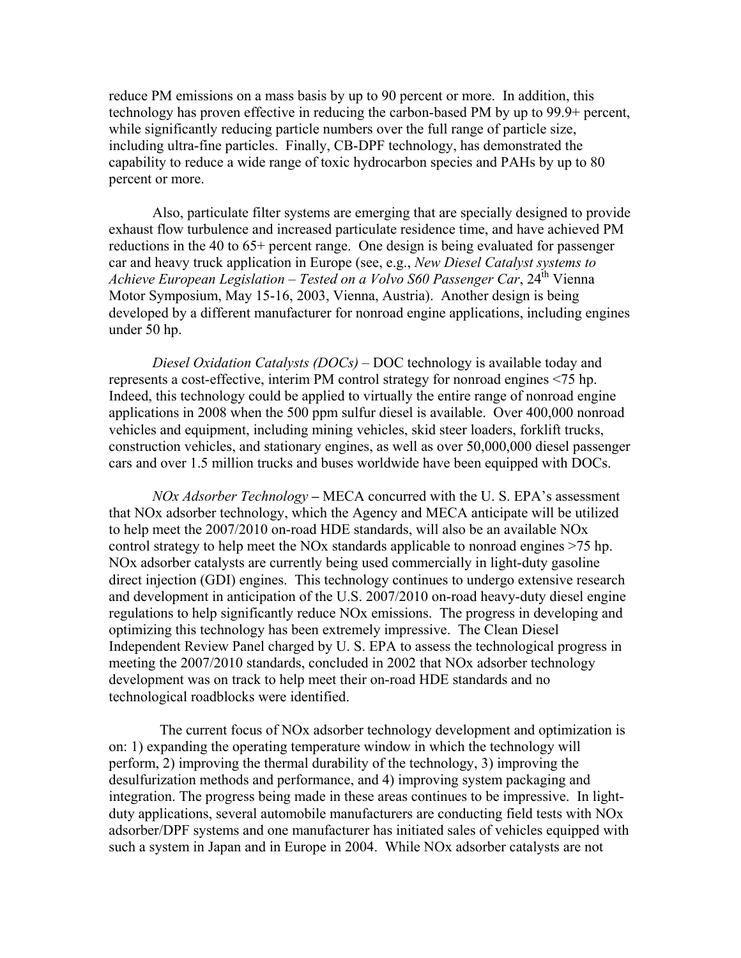reduce PM emissions on a mass basis by up to 90 percent or more. In addition, this technology has proven effective in reducing the carbon-based PM by up to 99.9+ percent, while significantly reducing particle numbers over the full range of particle size, including ultra-fine particles. Finally, CB-DPF technology, has demonstrated the capability to reduce a wide range of toxic hydrocarbon species and PAHs by up to 80 percent or more.

Also, particulate filter systems are emerging that are specially designed to provide exhaust flow turbulence and increased particulate residence time, and have achieved PM reductions in the 40 to 65+ percent range. One design is being evaluated for passenger car and heavy truck application in Europe (see, e.g., *New Diesel Catalyst systems to Achieve European Legislation – Tested on a Volvo S60 Passenger Car*, 24th Vienna Motor Symposium, May 15-16, 2003, Vienna, Austria). Another design is being developed by a different manufacturer for nonroad engine applications, including engines under 50 hp.

*Diesel Oxidation Catalysts (DOCs)* – DOC technology is available today and represents a cost-effective, interim PM control strategy for nonroad engines <75 hp. Indeed, this technology could be applied to virtually the entire range of nonroad engine applications in 2008 when the 500 ppm sulfur diesel is available. Over 400,000 nonroad vehicles and equipment, including mining vehicles, skid steer loaders, forklift trucks, construction vehicles, and stationary engines, as well as over 50,000,000 diesel passenger cars and over 1.5 million trucks and buses worldwide have been equipped with DOCs.

*NOx Adsorber Technology –* MECA concurred with the U. S. EPA's assessment that NOx adsorber technology, which the Agency and MECA anticipate will be utilized to help meet the 2007/2010 on-road HDE standards, will also be an available NOx control strategy to help meet the NOx standards applicable to nonroad engines >75 hp. NOx adsorber catalysts are currently being used commercially in light-duty gasoline direct injection (GDI) engines. This technology continues to undergo extensive research and development in anticipation of the U.S. 2007/2010 on-road heavy-duty diesel engine regulations to help significantly reduce NOx emissions. The progress in developing and optimizing this technology has been extremely impressive. The Clean Diesel Independent Review Panel charged by U. S. EPA to assess the technological progress in meeting the 2007/2010 standards, concluded in 2002 that NOx adsorber technology development was on track to help meet their on-road HDE standards and no technological roadblocks were identified.

 The current focus of NOx adsorber technology development and optimization is on: 1) expanding the operating temperature window in which the technology will perform, 2) improving the thermal durability of the technology, 3) improving the desulfurization methods and performance, and 4) improving system packaging and integration. The progress being made in these areas continues to be impressive. In lightduty applications, several automobile manufacturers are conducting field tests with NOx adsorber/DPF systems and one manufacturer has initiated sales of vehicles equipped with such a system in Japan and in Europe in 2004. While NOx adsorber catalysts are not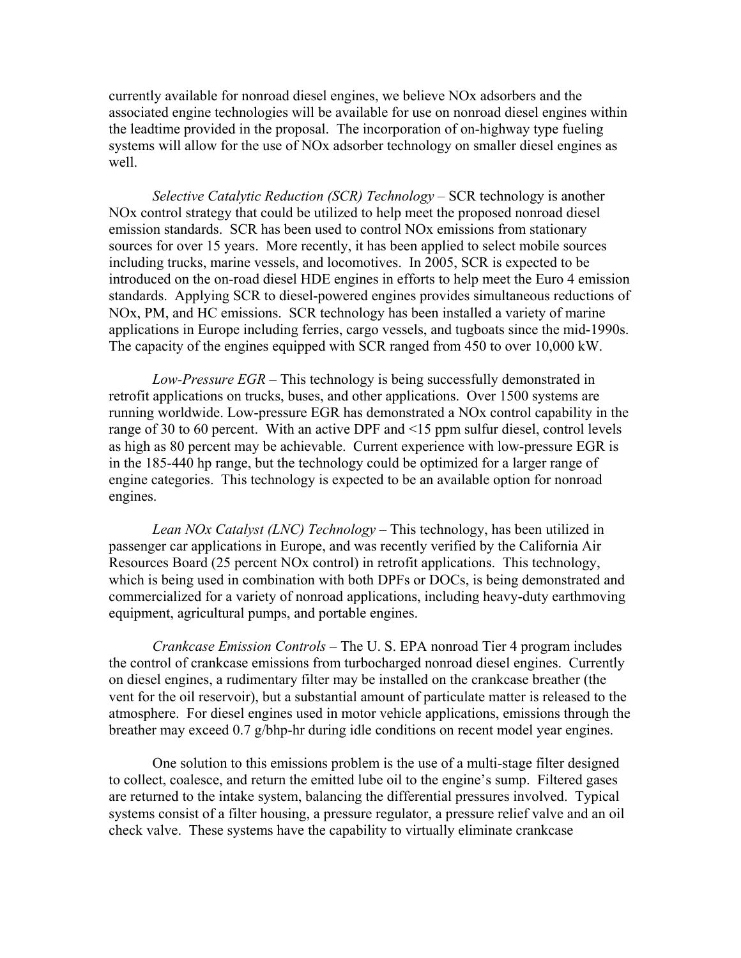currently available for nonroad diesel engines, we believe NOx adsorbers and the associated engine technologies will be available for use on nonroad diesel engines within the leadtime provided in the proposal. The incorporation of on-highway type fueling systems will allow for the use of NOx adsorber technology on smaller diesel engines as well.

*Selective Catalytic Reduction (SCR) Technology* – SCR technology is another NOx control strategy that could be utilized to help meet the proposed nonroad diesel emission standards. SCR has been used to control NOx emissions from stationary sources for over 15 years. More recently, it has been applied to select mobile sources including trucks, marine vessels, and locomotives. In 2005, SCR is expected to be introduced on the on-road diesel HDE engines in efforts to help meet the Euro 4 emission standards. Applying SCR to diesel-powered engines provides simultaneous reductions of NOx, PM, and HC emissions. SCR technology has been installed a variety of marine applications in Europe including ferries, cargo vessels, and tugboats since the mid-1990s. The capacity of the engines equipped with SCR ranged from 450 to over 10,000 kW.

*Low-Pressure EGR* – This technology is being successfully demonstrated in retrofit applications on trucks, buses, and other applications. Over 1500 systems are running worldwide. Low-pressure EGR has demonstrated a NOx control capability in the range of 30 to 60 percent. With an active DPF and <15 ppm sulfur diesel, control levels as high as 80 percent may be achievable. Current experience with low-pressure EGR is in the 185-440 hp range, but the technology could be optimized for a larger range of engine categories. This technology is expected to be an available option for nonroad engines.

*Lean NOx Catalyst (LNC) Technology* – This technology, has been utilized in passenger car applications in Europe, and was recently verified by the California Air Resources Board (25 percent NOx control) in retrofit applications. This technology, which is being used in combination with both DPFs or DOCs, is being demonstrated and commercialized for a variety of nonroad applications, including heavy-duty earthmoving equipment, agricultural pumps, and portable engines.

*Crankcase Emission Controls* – The U. S. EPA nonroad Tier 4 program includes the control of crankcase emissions from turbocharged nonroad diesel engines. Currently on diesel engines, a rudimentary filter may be installed on the crankcase breather (the vent for the oil reservoir), but a substantial amount of particulate matter is released to the atmosphere. For diesel engines used in motor vehicle applications, emissions through the breather may exceed 0.7 g/bhp-hr during idle conditions on recent model year engines.

One solution to this emissions problem is the use of a multi-stage filter designed to collect, coalesce, and return the emitted lube oil to the engine's sump. Filtered gases are returned to the intake system, balancing the differential pressures involved. Typical systems consist of a filter housing, a pressure regulator, a pressure relief valve and an oil check valve. These systems have the capability to virtually eliminate crankcase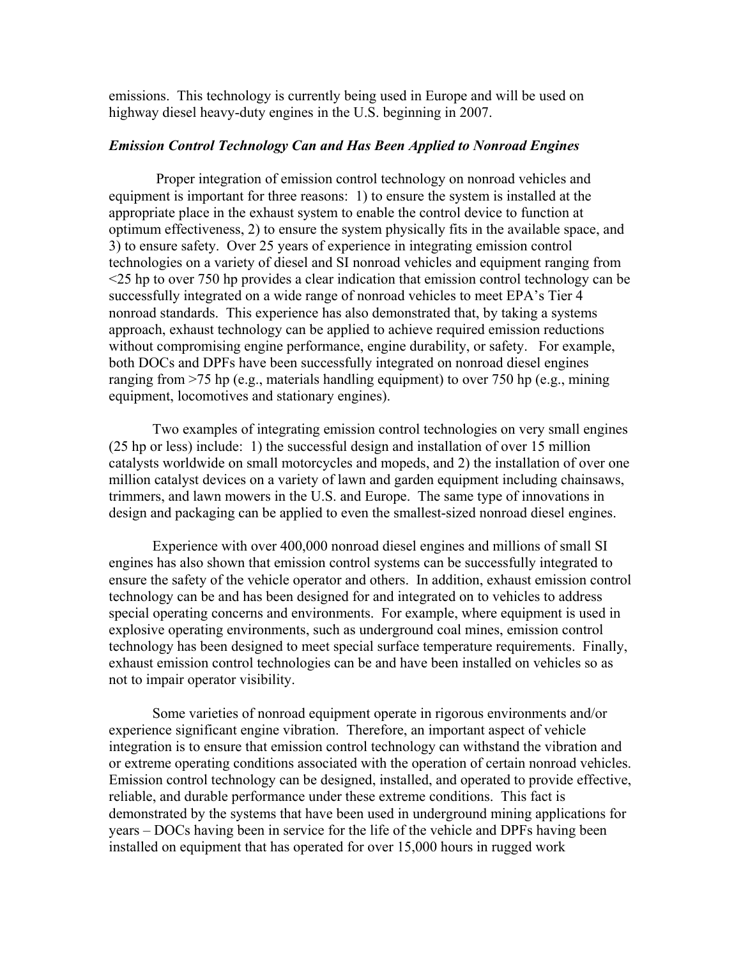emissions. This technology is currently being used in Europe and will be used on highway diesel heavy-duty engines in the U.S. beginning in 2007.

### *Emission Control Technology Can and Has Been Applied to Nonroad Engines*

 Proper integration of emission control technology on nonroad vehicles and equipment is important for three reasons: 1) to ensure the system is installed at the appropriate place in the exhaust system to enable the control device to function at optimum effectiveness, 2) to ensure the system physically fits in the available space, and 3) to ensure safety. Over 25 years of experience in integrating emission control technologies on a variety of diesel and SI nonroad vehicles and equipment ranging from <25 hp to over 750 hp provides a clear indication that emission control technology can be successfully integrated on a wide range of nonroad vehicles to meet EPA's Tier 4 nonroad standards. This experience has also demonstrated that, by taking a systems approach, exhaust technology can be applied to achieve required emission reductions without compromising engine performance, engine durability, or safety. For example, both DOCs and DPFs have been successfully integrated on nonroad diesel engines ranging from >75 hp (e.g., materials handling equipment) to over 750 hp (e.g., mining equipment, locomotives and stationary engines).

Two examples of integrating emission control technologies on very small engines (25 hp or less) include: 1) the successful design and installation of over 15 million catalysts worldwide on small motorcycles and mopeds, and 2) the installation of over one million catalyst devices on a variety of lawn and garden equipment including chainsaws, trimmers, and lawn mowers in the U.S. and Europe. The same type of innovations in design and packaging can be applied to even the smallest-sized nonroad diesel engines.

Experience with over 400,000 nonroad diesel engines and millions of small SI engines has also shown that emission control systems can be successfully integrated to ensure the safety of the vehicle operator and others. In addition, exhaust emission control technology can be and has been designed for and integrated on to vehicles to address special operating concerns and environments. For example, where equipment is used in explosive operating environments, such as underground coal mines, emission control technology has been designed to meet special surface temperature requirements. Finally, exhaust emission control technologies can be and have been installed on vehicles so as not to impair operator visibility.

Some varieties of nonroad equipment operate in rigorous environments and/or experience significant engine vibration. Therefore, an important aspect of vehicle integration is to ensure that emission control technology can withstand the vibration and or extreme operating conditions associated with the operation of certain nonroad vehicles. Emission control technology can be designed, installed, and operated to provide effective, reliable, and durable performance under these extreme conditions. This fact is demonstrated by the systems that have been used in underground mining applications for years – DOCs having been in service for the life of the vehicle and DPFs having been installed on equipment that has operated for over 15,000 hours in rugged work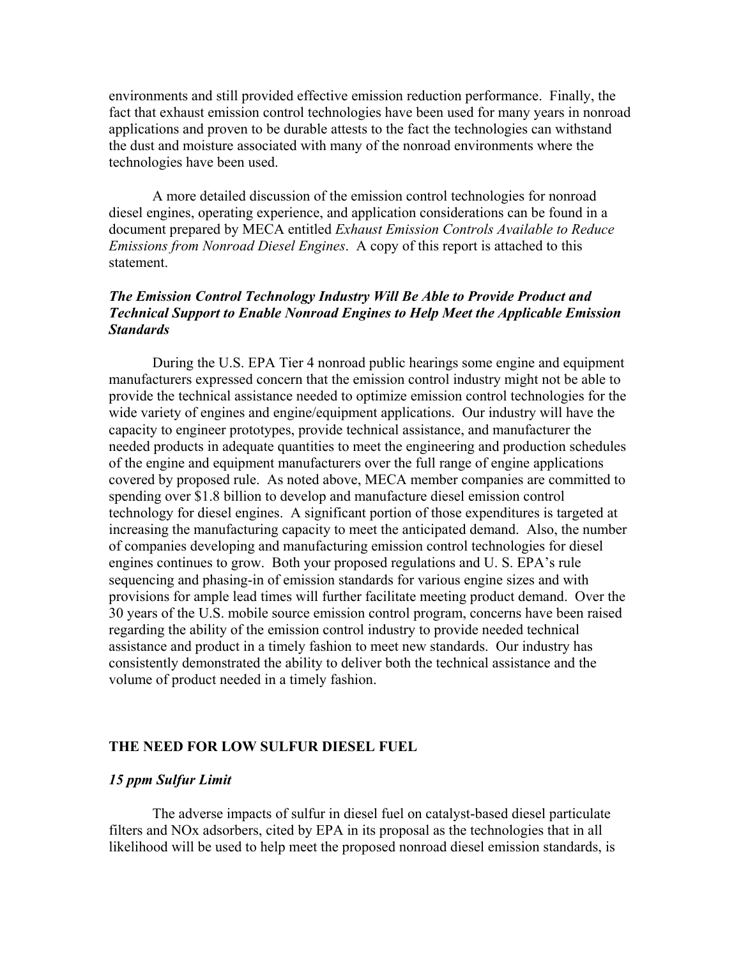environments and still provided effective emission reduction performance.Finally, the fact that exhaust emission control technologies have been used for many years in nonroad applications and proven to be durable attests to the fact the technologies can withstand the dust and moisture associated with many of the nonroad environments where the technologies have been used.

A more detailed discussion of the emission control technologies for nonroad diesel engines, operating experience, and application considerations can be found in a document prepared by MECA entitled *Exhaust Emission Controls Available to Reduce Emissions from Nonroad Diesel Engines*. A copy of this report is attached to this statement.

# *The Emission Control Technology Industry Will Be Able to Provide Product and Technical Support to Enable Nonroad Engines to Help Meet the Applicable Emission Standards*

During the U.S. EPA Tier 4 nonroad public hearings some engine and equipment manufacturers expressed concern that the emission control industry might not be able to provide the technical assistance needed to optimize emission control technologies for the wide variety of engines and engine/equipment applications. Our industry will have the capacity to engineer prototypes, provide technical assistance, and manufacturer the needed products in adequate quantities to meet the engineering and production schedules of the engine and equipment manufacturers over the full range of engine applications covered by proposed rule. As noted above, MECA member companies are committed to spending over \$1.8 billion to develop and manufacture diesel emission control technology for diesel engines. A significant portion of those expenditures is targeted at increasing the manufacturing capacity to meet the anticipated demand. Also, the number of companies developing and manufacturing emission control technologies for diesel engines continues to grow. Both your proposed regulations and U. S. EPA's rule sequencing and phasing-in of emission standards for various engine sizes and with provisions for ample lead times will further facilitate meeting product demand. Over the 30 years of the U.S. mobile source emission control program, concerns have been raised regarding the ability of the emission control industry to provide needed technical assistance and product in a timely fashion to meet new standards. Our industry has consistently demonstrated the ability to deliver both the technical assistance and the volume of product needed in a timely fashion.

### **THE NEED FOR LOW SULFUR DIESEL FUEL**

### *15 ppm Sulfur Limit*

The adverse impacts of sulfur in diesel fuel on catalyst-based diesel particulate filters and NOx adsorbers, cited by EPA in its proposal as the technologies that in all likelihood will be used to help meet the proposed nonroad diesel emission standards, is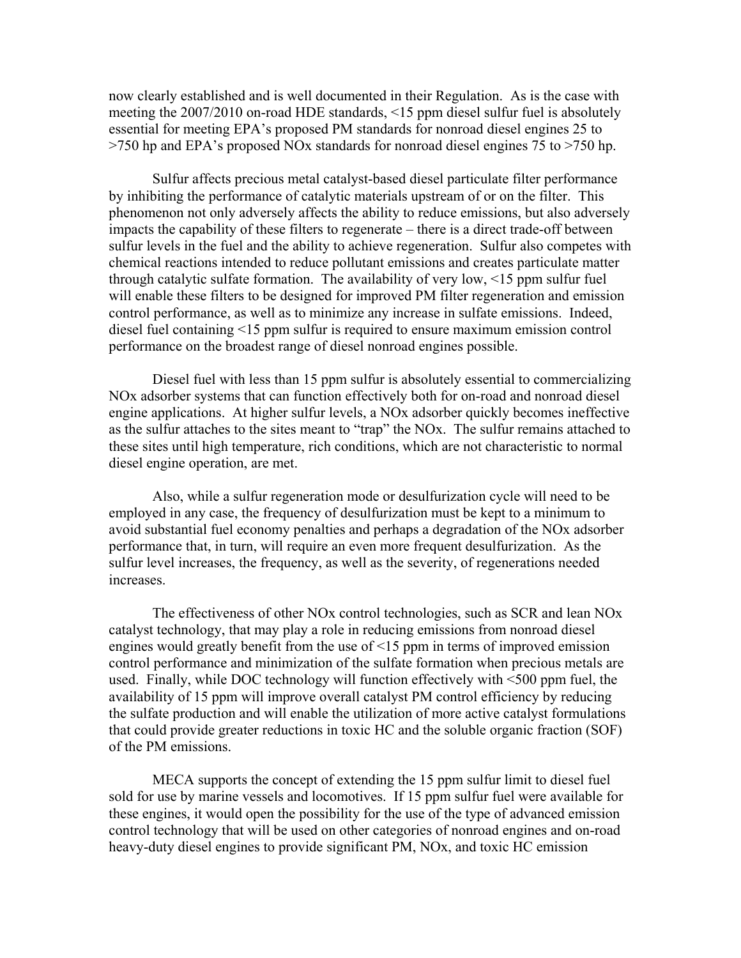now clearly established and is well documented in their Regulation. As is the case with meeting the 2007/2010 on-road HDE standards, <15 ppm diesel sulfur fuel is absolutely essential for meeting EPA's proposed PM standards for nonroad diesel engines 25 to >750 hp and EPA's proposed NOx standards for nonroad diesel engines 75 to >750 hp.

Sulfur affects precious metal catalyst-based diesel particulate filter performance by inhibiting the performance of catalytic materials upstream of or on the filter. This phenomenon not only adversely affects the ability to reduce emissions, but also adversely impacts the capability of these filters to regenerate – there is a direct trade-off between sulfur levels in the fuel and the ability to achieve regeneration. Sulfur also competes with chemical reactions intended to reduce pollutant emissions and creates particulate matter through catalytic sulfate formation. The availability of very low, <15 ppm sulfur fuel will enable these filters to be designed for improved PM filter regeneration and emission control performance, as well as to minimize any increase in sulfate emissions. Indeed, diesel fuel containing <15 ppm sulfur is required to ensure maximum emission control performance on the broadest range of diesel nonroad engines possible.

Diesel fuel with less than 15 ppm sulfur is absolutely essential to commercializing NOx adsorber systems that can function effectively both for on-road and nonroad diesel engine applications. At higher sulfur levels, a NOx adsorber quickly becomes ineffective as the sulfur attaches to the sites meant to "trap" the NOx. The sulfur remains attached to these sites until high temperature, rich conditions, which are not characteristic to normal diesel engine operation, are met.

Also, while a sulfur regeneration mode or desulfurization cycle will need to be employed in any case, the frequency of desulfurization must be kept to a minimum to avoid substantial fuel economy penalties and perhaps a degradation of the NOx adsorber performance that, in turn, will require an even more frequent desulfurization. As the sulfur level increases, the frequency, as well as the severity, of regenerations needed increases.

The effectiveness of other NOx control technologies, such as SCR and lean NOx catalyst technology, that may play a role in reducing emissions from nonroad diesel engines would greatly benefit from the use of <15 ppm in terms of improved emission control performance and minimization of the sulfate formation when precious metals are used. Finally, while DOC technology will function effectively with <500 ppm fuel, the availability of 15 ppm will improve overall catalyst PM control efficiency by reducing the sulfate production and will enable the utilization of more active catalyst formulations that could provide greater reductions in toxic HC and the soluble organic fraction (SOF) of the PM emissions.

MECA supports the concept of extending the 15 ppm sulfur limit to diesel fuel sold for use by marine vessels and locomotives. If 15 ppm sulfur fuel were available for these engines, it would open the possibility for the use of the type of advanced emission control technology that will be used on other categories of nonroad engines and on-road heavy-duty diesel engines to provide significant PM, NOx, and toxic HC emission